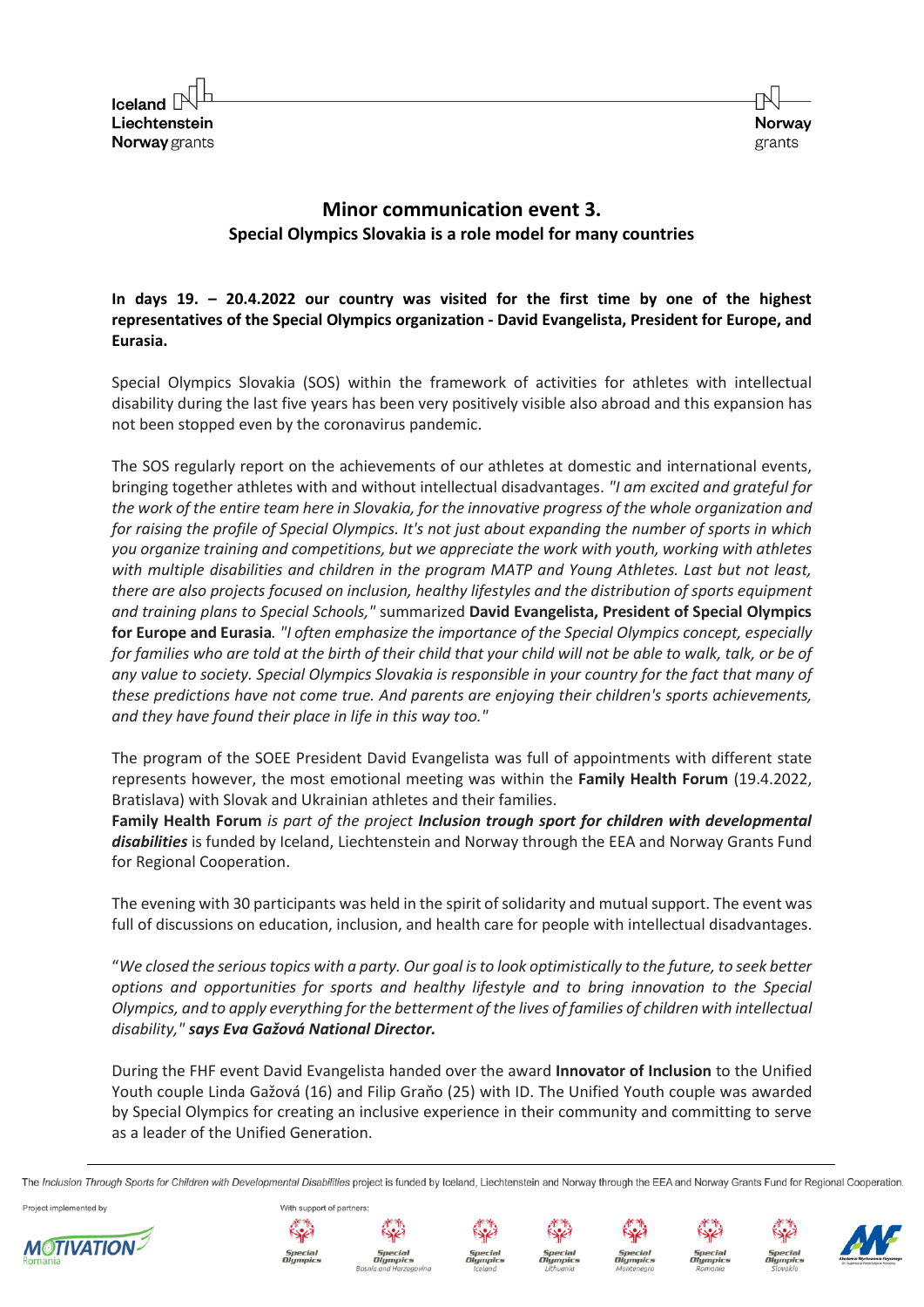$I$ celand  $[$ Liechtenstein **Norway** grants



## **Minor communication event 3. Special Olympics Slovakia is a role model for many countries**

**In days 19. – 20.4.2022 our country was visited for the first time by one of the highest representatives of the Special Olympics organization - David Evangelista, President for Europe, and Eurasia.**

Special Olympics Slovakia (SOS) within the framework of activities for athletes with intellectual disability during the last five years has been very positively visible also abroad and this expansion has not been stopped even by the coronavirus pandemic.

The SOS regularly report on the achievements of our athletes at domestic and international events, bringing together athletes with and without intellectual disadvantages. *"I am excited and grateful for the work of the entire team here in Slovakia, for the innovative progress of the whole organization and for raising the profile of Special Olympics. It's not just about expanding the number of sports in which you organize training and competitions, but we appreciate the work with youth, working with athletes with multiple disabilities and children in the program MATP and Young Athletes. Last but not least, there are also projects focused on inclusion, healthy lifestyles and the distribution of sports equipment and training plans to Special Schools,"* summarized **David Evangelista, President of Special Olympics for Europe and Eurasia***. "I often emphasize the importance of the Special Olympics concept, especially for families who are told at the birth of their child that your child will not be able to walk, talk, or be of any value to society. Special Olympics Slovakia is responsible in your country for the fact that many of these predictions have not come true. And parents are enjoying their children's sports achievements, and they have found their place in life in this way too."*

The program of the SOEE President David Evangelista was full of appointments with different state represents however, the most emotional meeting was within the **Family Health Forum** (19.4.2022, Bratislava) with Slovak and Ukrainian athletes and their families.

**Family Health Forum** *is part of the project Inclusion trough sport for children with developmental*  disabilities is funded by Iceland, Liechtenstein and Norway through the EEA and Norway Grants Fund for Regional Cooperation.

The evening with 30 participants was held in the spirit of solidarity and mutual support. The event was full of discussions on education, inclusion, and health care for people with intellectual disadvantages.

"*We closed the serious topics with a party. Our goal is to look optimistically to the future, to seek better options and opportunities for sports and healthy lifestyle and to bring innovation to the Special Olympics, and to apply everything for the betterment of the lives of families of children with intellectual disability," says Eva Gažová National Director.*

During the FHF event David Evangelista handed over the award **Innovator of Inclusion** to the Unified Youth couple Linda Gažová (16) and Filip Graňo (25) with ID. The Unified Youth couple was awarded by Special Olympics for creating an inclusive experience in their community and committing to serve as a leader of the Unified Generation.

The Inclusion Through Sports for Children with Developmental Disabilities project is funded by Iceland, Liechtenstein and Norway through the EEA and Norway Grants Fund for Regional Cooperation

Project implemented by